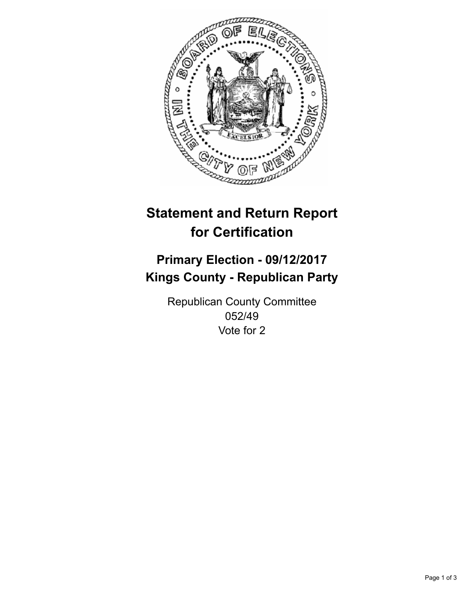

## **Statement and Return Report for Certification**

## **Primary Election - 09/12/2017 Kings County - Republican Party**

Republican County Committee 052/49 Vote for 2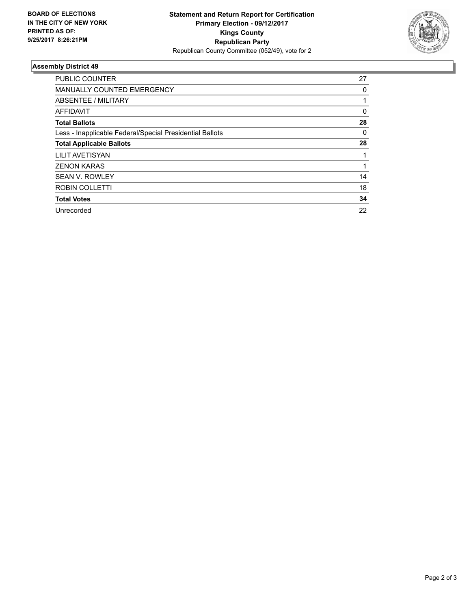

## **Assembly District 49**

| <b>PUBLIC COUNTER</b>                                    | 27       |
|----------------------------------------------------------|----------|
| MANUALLY COUNTED EMERGENCY                               | 0        |
| ABSENTEE / MILITARY                                      |          |
| AFFIDAVIT                                                | $\Omega$ |
| <b>Total Ballots</b>                                     | 28       |
| Less - Inapplicable Federal/Special Presidential Ballots | 0        |
| <b>Total Applicable Ballots</b>                          | 28       |
| <b>LILIT AVETISYAN</b>                                   |          |
| <b>ZENON KARAS</b>                                       |          |
| SEAN V. ROWLEY                                           | 14       |
| <b>ROBIN COLLETTI</b>                                    | 18       |
| <b>Total Votes</b>                                       | 34       |
| Unrecorded                                               | 22       |